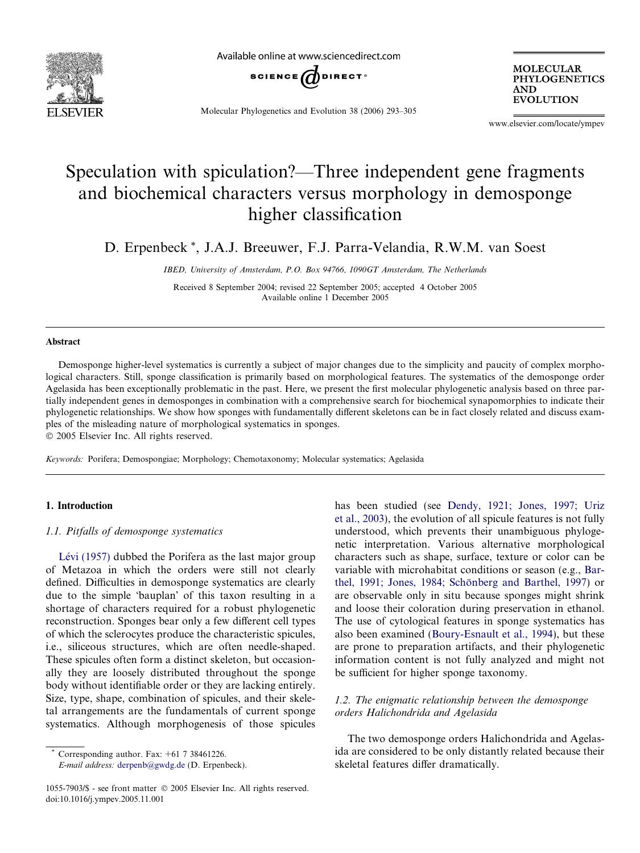

Available online at www.sciencedirect.com



**MOLECULAR PHYLOGENETICS AND EVOLUTION** 

Molecular Phylogenetics and Evolution 38 (2006) 293–305

www.elsevier.com/locate/ympev

# Speculation with spiculation?—Three independent gene fragments and biochemical characters versus morphology in demosponge higher classification

D. Erpenbeck \*, J.A.J. Breeuwer, F.J. Parra-Velandia, R.W.M. van Soest

IBED, University of Amsterdam, P.O. Box 94766, 1090GT Amsterdam, The Netherlands

Received 8 September 2004; revised 22 September 2005; accepted 4 October 2005 Available online 1 December 2005

#### Abstract

Demosponge higher-level systematics is currently a subject of major changes due to the simplicity and paucity of complex morphological characters. Still, sponge classification is primarily based on morphological features. The systematics of the demosponge order Agelasida has been exceptionally problematic in the past. Here, we present the first molecular phylogenetic analysis based on three partially independent genes in demosponges in combination with a comprehensive search for biochemical synapomorphies to indicate their phylogenetic relationships. We show how sponges with fundamentally different skeletons can be in fact closely related and discuss examples of the misleading nature of morphological systematics in sponges. 2005 Elsevier Inc. All rights reserved.

Keywords: Porifera; Demospongiae; Morphology; Chemotaxonomy; Molecular systematics; Agelasida

#### 1. Introduction

## 1.1. Pitfalls of demosponge systematics

Lévi (1957) dubbed the Porifera as the last major group of Metazoa in which the orders were still not clearly defined. Difficulties in demosponge systematics are clearly due to the simple 'bauplan' of this taxon resulting in a shortage of characters required for a robust phylogenetic reconstruction. Sponges bear only a few different cell types of which the sclerocytes produce the characteristic spicules, i.e., siliceous structures, which are often needle-shaped. These spicules often form a distinct skeleton, but occasionally they are loosely distributed throughout the sponge body without identifiable order or they are lacking entirely. Size, type, shape, combination of spicules, and their skeletal arrangements are the fundamentals of current sponge systematics. Although morphogenesis of those spicules

E-mail address: [derpenb@gwdg.de](mailto:derpenb@gwdg.de) (D. Erpenbeck).

has been studied (see [Dendy, 1921; Jones, 1997; Uriz](#page-10-0) [et al., 2003\)](#page-10-0), the evolution of all spicule features is not fully understood, which prevents their unambiguous phylogenetic interpretation. Various alternative morphological characters such as shape, surface, texture or color can be variable with microhabitat conditions or season (e.g., [Bar](#page-10-0)thel, 1991; Jones, 1984; Schönberg and Barthel, 1997) or are observable only in situ because sponges might shrink and loose their coloration during preservation in ethanol. The use of cytological features in sponge systematics has also been examined ([Boury-Esnault et al., 1994](#page-10-0)), but these are prone to preparation artifacts, and their phylogenetic information content is not fully analyzed and might not be sufficient for higher sponge taxonomy.

# 1.2. The enigmatic relationship between the demosponge orders Halichondrida and Agelasida

The two demosponge orders Halichondrida and Agelasida are considered to be only distantly related because their skeletal features differ dramatically.

Corresponding author. Fax:  $+61$  7 38461226.

<sup>1055-7903/\$ -</sup> see front matter 2005 Elsevier Inc. All rights reserved. doi:10.1016/j.ympev.2005.11.001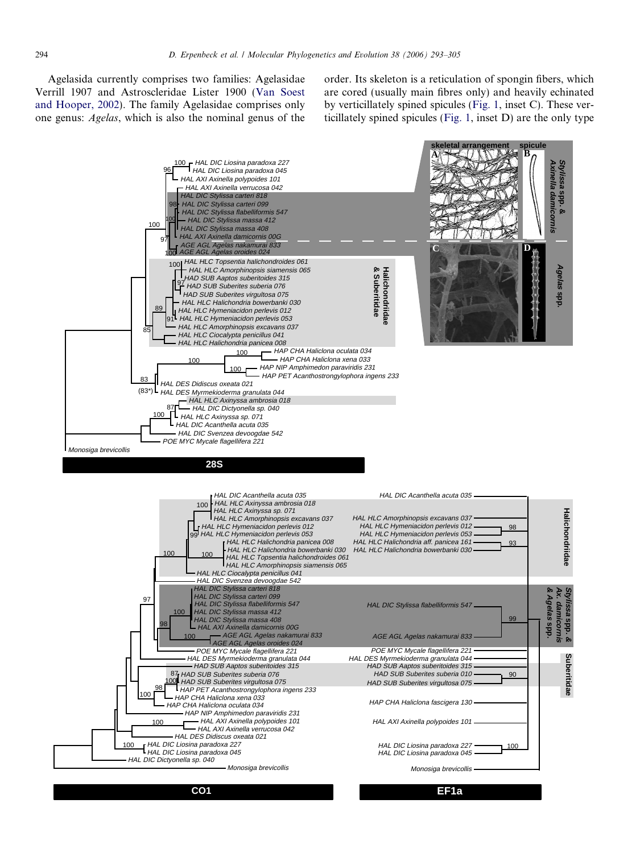Agelasida currently comprises two families: Agelasidae Verrill 1907 and Astroscleridae Lister 1900 [\(Van Soest](#page-11-0) [and Hooper, 2002\)](#page-11-0). The family Agelasidae comprises only one genus: Agelas, which is also the nominal genus of the order. Its skeleton is a reticulation of spongin fibers, which are cored (usually main fibres only) and heavily echinated by verticillately spined spicules [\(Fig. 1](#page-2-0), inset C). These verticillately spined spicules ([Fig. 1,](#page-2-0) inset D) are the only type

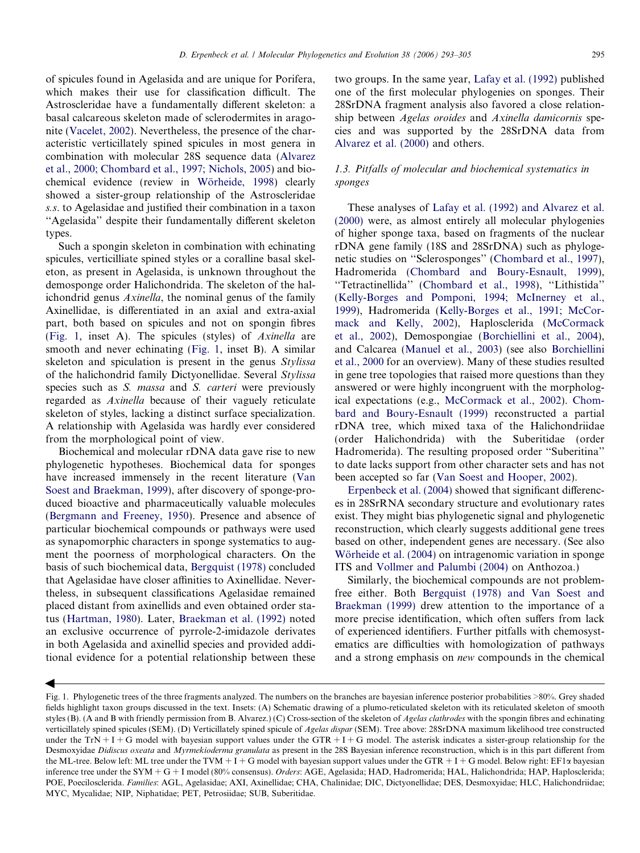<span id="page-2-0"></span>of spicules found in Agelasida and are unique for Porifera, which makes their use for classification difficult. The Astroscleridae have a fundamentally different skeleton: a basal calcareous skeleton made of sclerodermites in aragonite ([Vacelet, 2002](#page-12-0)). Nevertheless, the presence of the characteristic verticillately spined spicules in most genera in combination with molecular 28S sequence data ([Alvarez](#page-9-0) [et al., 2000; Chombard et al., 1997; Nichols, 2005\)](#page-9-0) and biochemical evidence (review in Wörheide, 1998) clearly showed a sister-group relationship of the Astroscleridae s.s. to Agelasidae and justified their combination in a taxon ''Agelasida'' despite their fundamentally different skeleton types.

Such a spongin skeleton in combination with echinating spicules, verticilliate spined styles or a coralline basal skeleton, as present in Agelasida, is unknown throughout the demosponge order Halichondrida. The skeleton of the halichondrid genus Axinella, the nominal genus of the family Axinellidae, is differentiated in an axial and extra-axial part, both based on spicules and not on spongin fibres (Fig. 1, inset A). The spicules (styles) of Axinella are smooth and never echinating (Fig. 1, inset B). A similar skeleton and spiculation is present in the genus Stylissa of the halichondrid family Dictyonellidae. Several Stylissa species such as S. massa and S. carteri were previously regarded as Axinella because of their vaguely reticulate skeleton of styles, lacking a distinct surface specialization. A relationship with Agelasida was hardly ever considered from the morphological point of view.

Biochemical and molecular rDNA data gave rise to new phylogenetic hypotheses. Biochemical data for sponges have increased immensely in the recent literature ([Van](#page-11-0) [Soest and Braekman, 1999](#page-11-0)), after discovery of sponge-produced bioactive and pharmaceutically valuable molecules ([Bergmann and Freeney, 1950\)](#page-10-0). Presence and absence of particular biochemical compounds or pathways were used as synapomorphic characters in sponge systematics to augment the poorness of morphological characters. On the basis of such biochemical data, [Bergquist \(1978\)](#page-10-0) concluded that Agelasidae have closer affinities to Axinellidae. Nevertheless, in subsequent classifications Agelasidae remained placed distant from axinellids and even obtained order status [\(Hartman, 1980](#page-10-0)). Later, [Braekman et al. \(1992\)](#page-10-0) noted an exclusive occurrence of pyrrole-2-imidazole derivates in both Agelasida and axinellid species and provided additional evidence for a potential relationship between these

*b*

two groups. In the same year, [Lafay et al. \(1992\)](#page-11-0) published one of the first molecular phylogenies on sponges. Their 28SrDNA fragment analysis also favored a close relationship between Agelas oroides and Axinella damicornis species and was supported by the 28SrDNA data from [Alvarez et al. \(2000\)](#page-9-0) and others.

## 1.3. Pitfalls of molecular and biochemical systematics in sponges

These analyses of [Lafay et al. \(1992\) and Alvarez et al.](#page-11-0) [\(2000\)](#page-11-0) were, as almost entirely all molecular phylogenies of higher sponge taxa, based on fragments of the nuclear rDNA gene family (18S and 28SrDNA) such as phylogenetic studies on ''Sclerosponges'' [\(Chombard et al., 1997](#page-10-0)), Hadromerida ([Chombard and Boury-Esnault, 1999\)](#page-10-0), ''Tetractinellida'' ([Chombard et al., 1998\)](#page-10-0), ''Lithistida'' ([Kelly-Borges and Pomponi, 1994; McInerney et al.,](#page-11-0) [1999](#page-11-0)), Hadromerida ([Kelly-Borges et al., 1991; McCor](#page-11-0)[mack and Kelly, 2002\)](#page-11-0), Haplosclerida ([McCormack](#page-11-0) [et al., 2002](#page-11-0)), Demospongiae ([Borchiellini et al., 2004\)](#page-10-0), and Calcarea [\(Manuel et al., 2003\)](#page-11-0) (see also [Borchiellini](#page-10-0) [et al., 2000](#page-10-0) for an overview). Many of these studies resulted in gene tree topologies that raised more questions than they answered or were highly incongruent with the morphological expectations (e.g., [McCormack et al., 2002](#page-11-0)). [Chom](#page-10-0)[bard and Boury-Esnault \(1999\)](#page-10-0) reconstructed a partial rDNA tree, which mixed taxa of the Halichondriidae (order Halichondrida) with the Suberitidae (order Hadromerida). The resulting proposed order ''Suberitina'' to date lacks support from other character sets and has not been accepted so far [\(Van Soest and Hooper, 2002](#page-11-0)).

[Erpenbeck et al. \(2004\)](#page-10-0) showed that significant differences in 28SrRNA secondary structure and evolutionary rates exist. They might bias phylogenetic signal and phylogenetic reconstruction, which clearly suggests additional gene trees based on other, independent genes are necessary. (See also Wörheide et al. (2004) on intragenomic variation in sponge ITS and [Vollmer and Palumbi \(2004\)](#page-12-0) on Anthozoa.)

Similarly, the biochemical compounds are not problemfree either. Both [Bergquist \(1978\) and Van Soest and](#page-10-0) [Braekman \(1999\)](#page-10-0) drew attention to the importance of a more precise identification, which often suffers from lack of experienced identifiers. Further pitfalls with chemosystematics are difficulties with homologization of pathways and a strong emphasis on new compounds in the chemical

Fig. 1. Phylogenetic trees of the three fragments analyzed. The numbers on the branches are bayesian inference posterior probabilities >80%. Grey shaded fields highlight taxon groups discussed in the text. Insets: (A) Schematic drawing of a plumo-reticulated skeleton with its reticulated skeleton of smooth styles (B). (A and B with friendly permission from B. Alvarez.) (C) Cross-section of the skeleton of Agelas clathrodes with the spongin fibres and echinating verticillately spined spicules (SEM). (D) Verticillately spined spicule of Agelas dispar (SEM). Tree above: 28SrDNA maximum likelihood tree constructed under the TrN + I + G model with bayesian support values under the GTR + I + G model. The asterisk indicates a sister-group relationship for the Desmoxyidae Didiscus oxeata and Myrmekioderma granulata as present in the 28S Bayesian inference reconstruction, which is in this part different from the ML-tree. Below left: ML tree under the TVM + I + G model with bayesian support values under the GTR + I + G model. Below right: EF1 $\alpha$  bayesian inference tree under the SYM + G + I model (80% consensus). Orders: AGE, Agelasida; HAD, Hadromerida; HAL, Halichondrida; HAP, Haplosclerida; POE, Poecilosclerida. Families: AGL, Agelasidae; AXI, Axinellidae; CHA, Chalinidae; DIC, Dictyonellidae; DES, Desmoxyidae; HLC, Halichondriidae; MYC, Mycalidae; NIP, Niphatidae; PET, Petrosiidae; SUB, Suberitidae.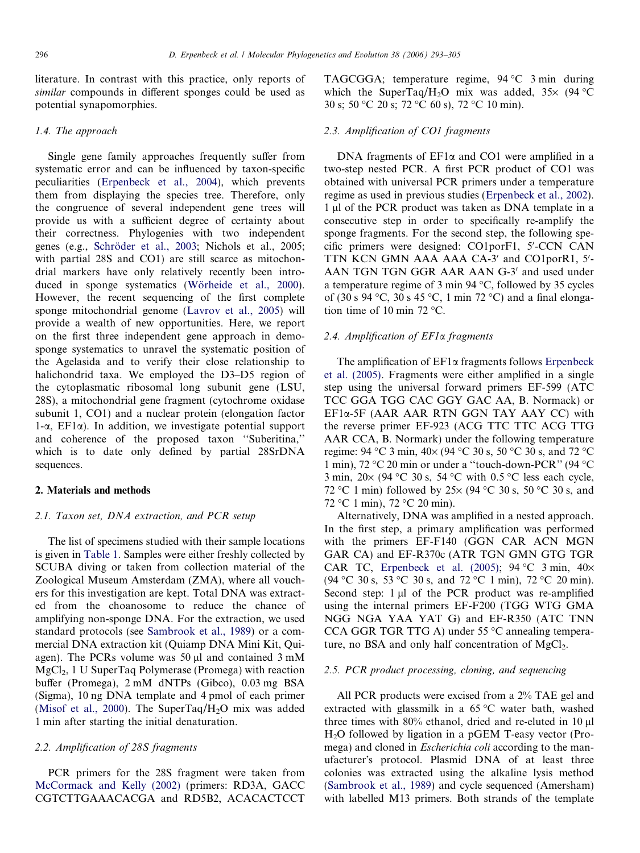literature. In contrast with this practice, only reports of similar compounds in different sponges could be used as potential synapomorphies.

## 1.4. The approach

Single gene family approaches frequently suffer from systematic error and can be influenced by taxon-specific peculiarities [\(Erpenbeck et al., 2004](#page-10-0)), which prevents them from displaying the species tree. Therefore, only the congruence of several independent gene trees will provide us with a sufficient degree of certainty about their correctness. Phylogenies with two independent genes (e.g., Schröder et al., 2003; Nichols et al., 2005; with partial 28S and CO1) are still scarce as mitochondrial markers have only relatively recently been introduced in sponge systematics (Wörheide et al., 2000). However, the recent sequencing of the first complete sponge mitochondrial genome ([Lavrov et al., 2005](#page-11-0)) will provide a wealth of new opportunities. Here, we report on the first three independent gene approach in demosponge systematics to unravel the systematic position of the Agelasida and to verify their close relationship to halichondrid taxa. We employed the D3–D5 region of the cytoplasmatic ribosomal long subunit gene (LSU, 28S), a mitochondrial gene fragment (cytochrome oxidase subunit 1, CO1) and a nuclear protein (elongation factor  $1-\alpha$ , EF1 $\alpha$ ). In addition, we investigate potential support and coherence of the proposed taxon ''Suberitina,'' which is to date only defined by partial 28SrDNA sequences.

#### 2. Materials and methods

# 2.1. Taxon set, DNA extraction, and PCR setup

The list of specimens studied with their sample locations is given in [Table 1.](#page-4-0) Samples were either freshly collected by SCUBA diving or taken from collection material of the Zoological Museum Amsterdam (ZMA), where all vouchers for this investigation are kept. Total DNA was extracted from the choanosome to reduce the chance of amplifying non-sponge DNA. For the extraction, we used standard protocols (see [Sambrook et al., 1989\)](#page-11-0) or a commercial DNA extraction kit (Quiamp DNA Mini Kit, Quiagen). The PCRs volume was 50  $\mu$ l and contained 3 mM  $MgCl<sub>2</sub>$ , 1 U SuperTaq Polymerase (Promega) with reaction buffer (Promega), 2 mM dNTPs (Gibco), 0.03 mg BSA (Sigma), 10 ng DNA template and 4 pmol of each primer [\(Misof et al., 2000\)](#page-11-0). The SuperTaq/H<sub>2</sub>O mix was added 1 min after starting the initial denaturation.

#### 2.2. Amplification of 28S fragments

PCR primers for the 28S fragment were taken from [McCormack and Kelly \(2002\)](#page-11-0) (primers: RD3A, GACC CGTCTTGAAACACGA and RD5B2, ACACACTCCT

TAGCGGA; temperature regime,  $94 °C$  3 min during which the SuperTaq/H<sub>2</sub>O mix was added,  $35\times$  (94 °C) 30 s; 50 °C 20 s; 72 °C 60 s), 72 °C 10 min).

#### 2.3. Amplification of CO1 fragments

DNA fragments of  $EFi\alpha$  and CO1 were amplified in a two-step nested PCR. A first PCR product of CO1 was obtained with universal PCR primers under a temperature regime as used in previous studies ([Erpenbeck et al., 2002\)](#page-10-0). 1 ul of the PCR product was taken as DNA template in a consecutive step in order to specifically re-amplify the sponge fragments. For the second step, the following specific primers were designed: CO1porF1, 5'-CCN CAN TTN KCN GMN AAA AAA CA-3' and CO1porR1, 5'-AAN TGN TGN GGR AAR AAN G-3' and used under a temperature regime of 3 min 94  $\degree$ C, followed by 35 cycles of (30 s 94 °C, 30 s 45 °C, 1 min 72 °C) and a final elongation time of 10 min 72  $\mathrm{^{\circ}C}$ .

### 2.4. Amplification of EF1*a* fragments

The amplification of  $EFi\alpha$  fragments follows [Erpenbeck](#page-10-0) [et al. \(2005\).](#page-10-0) Fragments were either amplified in a single step using the universal forward primers EF-599 (ATC TCC GGA TGG CAC GGY GAC AA, B. Normack) or EF1a-5F (AAR AAR RTN GGN TAY AAY CC) with the reverse primer EF-923 (ACG TTC TTC ACG TTG AAR CCA, B. Normark) under the following temperature regime: 94 °C 3 min, 40× (94 °C 30 s, 50 °C 30 s, and 72 °C 1 min), 72 °C 20 min or under a "touch-down-PCR" (94 °C 3 min,  $20 \times (94 \degree C)$  30 s,  $54 \degree C$  with 0.5  $\degree C$  less each cycle, 72 °C 1 min) followed by  $25 \times (94 \degree C 30 \text{ s}, 50 \degree C 30 \text{ s}, \text{ and}$ 72 °C 1 min), 72 °C 20 min).

Alternatively, DNA was amplified in a nested approach. In the first step, a primary amplification was performed with the primers EF-F140 (GGN CAR ACN MGN GAR CA) and EF-R370c (ATR TGN GMN GTG TGR CAR TC, [Erpenbeck et al. \(2005\)](#page-10-0); 94 °C 3 min, 40 $\times$  $(94 °C 30 s, 53 °C 30 s, and 72 °C 1 min), 72 °C 20 min).$ Second step:  $1 \mu l$  of the PCR product was re-amplified using the internal primers EF-F200 (TGG WTG GMA NGG NGA YAA YAT G) and EF-R350 (ATC TNN CCA GGR TGR TTG A) under 55  $\degree$ C annealing temperature, no BSA and only half concentration of  $MgCl<sub>2</sub>$ .

#### 2.5. PCR product processing, cloning, and sequencing

All PCR products were excised from a 2% TAE gel and extracted with glassmilk in a  $65^{\circ}$ C water bath, washed three times with  $80\%$  ethanol, dried and re-eluted in 10  $\mu$ l H2O followed by ligation in a pGEM T-easy vector (Promega) and cloned in Escherichia coli according to the manufacturer's protocol. Plasmid DNA of at least three colonies was extracted using the alkaline lysis method [\(Sambrook et al., 1989](#page-11-0)) and cycle sequenced (Amersham) with labelled M13 primers. Both strands of the template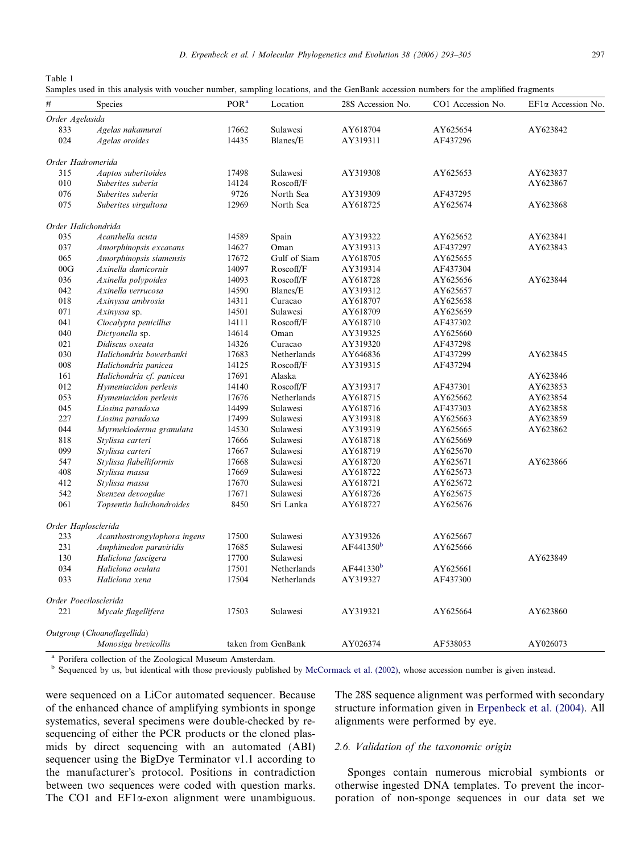<span id="page-4-0"></span>Table 1

Samples used in this analysis with voucher number, sampling locations, and the GenBank accession numbers for the amplified fragments

| $\#$                | Species                      | POR <sup>a</sup> | Location           | 28S Accession No.     | CO1 Accession No. | EF1α Accession No. |
|---------------------|------------------------------|------------------|--------------------|-----------------------|-------------------|--------------------|
| Order Agelasida     |                              |                  |                    |                       |                   |                    |
| 833                 | Agelas nakamurai             | 17662            | Sulawesi           | AY618704              | AY625654          | AY623842           |
| 024                 | Agelas oroides               | 14435            | Blanes/E           | AY319311              | AF437296          |                    |
| Order Hadromerida   |                              |                  |                    |                       |                   |                    |
| 315                 | Aaptos suberitoides          | 17498            | Sulawesi           | AY319308              | AY625653          | AY623837           |
| 010                 | Suberites suberia            | 14124            | Roseoff/F          |                       |                   | AY623867           |
| 076                 | Suberites suberia            | 9726             | North Sea          | AY319309              | AF437295          |                    |
| 075                 | Suberites virgultosa         | 12969            | North Sea          | AY618725              | AY625674          | AY623868           |
| Order Halichondrida |                              |                  |                    |                       |                   |                    |
| 035                 | Acanthella acuta             | 14589            | Spain              | AY319322              | AY625652          | AY623841           |
| 037                 | Amorphinopsis excavans       | 14627            | Oman               | AY319313              | AF437297          | AY623843           |
| 065                 | Amorphinopsis siamensis      | 17672            | Gulf of Siam       | AY618705              | AY625655          |                    |
| 00G                 | Axinella damicornis          | 14097            | Roscoff/F          | AY319314              | AF437304          |                    |
| 036                 | Axinella polypoides          | 14093            | Roscoff/F          | AY618728              | AY625656          | AY623844           |
| 042                 | Axinella verrucosa           | 14590            | Blanes/E           | AY319312              | AY625657          |                    |
| 018                 | Axinyssa ambrosia            | 14311            | Curacao            | AY618707              | AY625658          |                    |
| 071                 | Axinyssa sp.                 | 14501            | Sulawesi           | AY618709              | AY625659          |                    |
| 041                 | Ciocalypta penicillus        | 14111            | Roscoff/F          | AY618710              | AF437302          |                    |
| 040                 | Dictyonella sp.              | 14614            | Oman               | AY319325              | AY625660          |                    |
| 021                 | Didiscus oxeata              | 14326            | Curacao            | AY319320              | AF437298          |                    |
| 030                 | Halichondria bowerbanki      | 17683            | Netherlands        | AY646836              | AF437299          | AY623845           |
| 008                 | Halichondria panicea         | 14125            | Roscoff/F          | AY319315              | AF437294          |                    |
| 161                 | Halichondria cf. panicea     | 17691            | Alaska             |                       |                   | AY623846           |
| 012                 | Hymeniacidon perlevis        | 14140            | Roscoff/F          | AY319317              | AF437301          | AY623853           |
| 053                 | Hymeniacidon perlevis        | 17676            | Netherlands        | AY618715              | AY625662          | AY623854           |
| 045                 | Liosina paradoxa             | 14499            | Sulawesi           | AY618716              | AF437303          | AY623858           |
| 227                 | Liosina paradoxa             | 17499            | Sulawesi           | AY319318              | AY625663          | AY623859           |
| 044                 | Myrmekioderma granulata      | 14530            | Sulawesi           | AY319319              | AY625665          | AY623862           |
| 818                 | Stylissa carteri             | 17666            | Sulawesi           | AY618718              | AY625669          |                    |
| 099                 | Stylissa carteri             | 17667            | Sulawesi           | AY618719              | AY625670          |                    |
| 547                 | Stylissa flabelliformis      | 17668            | Sulawesi           | AY618720              | AY625671          | AY623866           |
| 408                 | Stylissa massa               | 17669            | Sulawesi           | AY618722              | AY625673          |                    |
| 412                 | Stylissa massa               | 17670            | Sulawesi           | AY618721              | AY625672          |                    |
| 542                 | Svenzea devoogdae            | 17671            | Sulawesi           | AY618726              | AY625675          |                    |
| 061                 | Topsentia halichondroides    | 8450             | Sri Lanka          | AY618727              | AY625676          |                    |
| Order Haplosclerida |                              |                  |                    |                       |                   |                    |
| 233                 | Acanthostrongylophora ingens | 17500            | Sulawesi           | AY319326              | AY625667          |                    |
| 231                 | Amphimedon paraviridis       | 17685            | Sulawesi           | AF441350 <sup>b</sup> | AY625666          |                    |
| 130                 | Haliclona fascigera          | 17700            | Sulawesi           |                       |                   | AY623849           |
| 034                 | Haliclona oculata            | 17501            | Netherlands        | AF441330 <sup>b</sup> | AY625661          |                    |
| 033                 | Haliclona xena               | 17504            | Netherlands        | AY319327              | AF437300          |                    |
|                     | Order Poecilosclerida        |                  |                    |                       |                   |                    |
| 221                 | Mycale flagellifera          | 17503            | Sulawesi           | AY319321              | AY625664          | AY623860           |
|                     | Outgroup (Choanoflagellida)  |                  |                    |                       |                   |                    |
|                     | Monosiga brevicollis         |                  | taken from GenBank | AY026374              | AF538053          | AY026073           |

<sup>a</sup> Porifera collection of the Zoological Museum Amsterdam.

 $<sup>b</sup>$  Sequenced by us, but identical with those previously published by [McCormack et al. \(2002\)](#page-11-0), whose accession number is given instead.</sup>

were sequenced on a LiCor automated sequencer. Because of the enhanced chance of amplifying symbionts in sponge systematics, several specimens were double-checked by resequencing of either the PCR products or the cloned plasmids by direct sequencing with an automated (ABI) sequencer using the BigDye Terminator v1.1 according to the manufacturer's protocol. Positions in contradiction between two sequences were coded with question marks. The CO1 and EF1 $\alpha$ -exon alignment were unambiguous.

The 28S sequence alignment was performed with secondary structure information given in [Erpenbeck et al. \(2004\).](#page-10-0) All alignments were performed by eye.

## 2.6. Validation of the taxonomic origin

Sponges contain numerous microbial symbionts or otherwise ingested DNA templates. To prevent the incorporation of non-sponge sequences in our data set we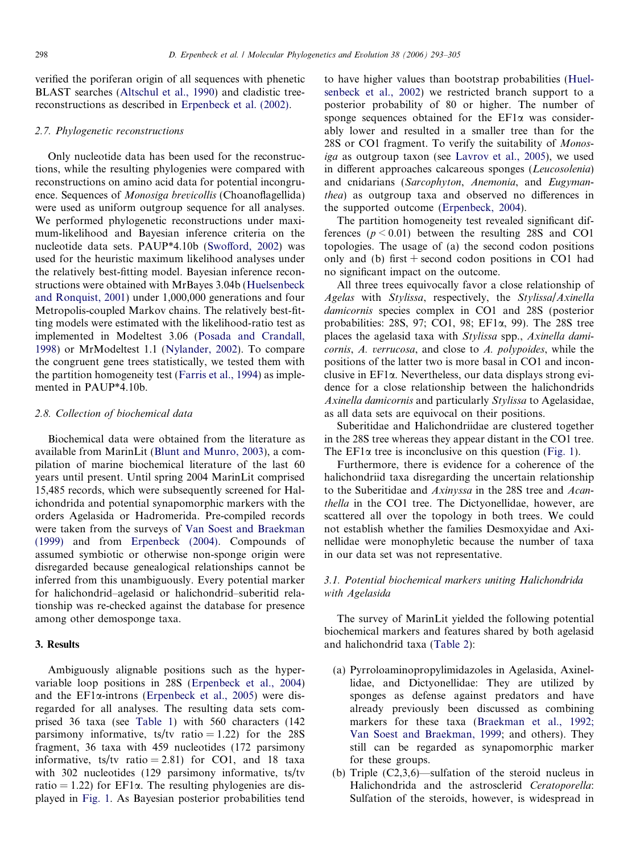verified the poriferan origin of all sequences with phenetic BLAST searches ([Altschul et al., 1990](#page-9-0)) and cladistic treereconstructions as described in [Erpenbeck et al. \(2002\).](#page-10-0)

#### 2.7. Phylogenetic reconstructions

Only nucleotide data has been used for the reconstructions, while the resulting phylogenies were compared with reconstructions on amino acid data for potential incongruence. Sequences of *Monosiga brevicollis* (Choanoflagellida) were used as uniform outgroup sequence for all analyses. We performed phylogenetic reconstructions under maximum-likelihood and Bayesian inference criteria on the nucleotide data sets. PAUP\*4.10b [\(Swofford, 2002](#page-11-0)) was used for the heuristic maximum likelihood analyses under the relatively best-fitting model. Bayesian inference reconstructions were obtained with MrBayes 3.04b [\(Huelsenbeck](#page-10-0) [and Ronquist, 2001](#page-10-0)) under 1,000,000 generations and four Metropolis-coupled Markov chains. The relatively best-fitting models were estimated with the likelihood-ratio test as implemented in Modeltest 3.06 [\(Posada and Crandall,](#page-11-0) [1998\)](#page-11-0) or MrModeltest 1.1 ([Nylander, 2002\)](#page-11-0). To compare the congruent gene trees statistically, we tested them with the partition homogeneity test [\(Farris et al., 1994\)](#page-10-0) as implemented in PAUP\*4.10b.

#### 2.8. Collection of biochemical data

Biochemical data were obtained from the literature as available from MarinLit ([Blunt and Munro, 2003](#page-10-0)), a compilation of marine biochemical literature of the last 60 years until present. Until spring 2004 MarinLit comprised 15,485 records, which were subsequently screened for Halichondrida and potential synapomorphic markers with the orders Agelasida or Hadromerida. Pre-compiled records were taken from the surveys of [Van Soest and Braekman](#page-11-0) [\(1999\)](#page-11-0) and from [Erpenbeck \(2004\).](#page-10-0) Compounds of assumed symbiotic or otherwise non-sponge origin were disregarded because genealogical relationships cannot be inferred from this unambiguously. Every potential marker for halichondrid–agelasid or halichondrid–suberitid relationship was re-checked against the database for presence among other demosponge taxa.

#### 3. Results

Ambiguously alignable positions such as the hypervariable loop positions in 28S [\(Erpenbeck et al., 2004](#page-10-0)) and the EF1 $\alpha$ -introns [\(Erpenbeck et al., 2005](#page-10-0)) were disregarded for all analyses. The resulting data sets comprised 36 taxa (see [Table 1](#page-4-0)) with 560 characters (142 parsimony informative, ts/tv ratio = 1.22) for the 28S fragment, 36 taxa with 459 nucleotides (172 parsimony informative, ts/tv ratio = 2.81) for CO1, and 18 taxa with 302 nucleotides (129 parsimony informative, ts/tv ratio = 1.22) for EF1 $\alpha$ . The resulting phylogenies are displayed in [Fig. 1](#page-2-0). As Bayesian posterior probabilities tend

to have higher values than bootstrap probabilities ([Huel](#page-10-0)[senbeck et al., 2002](#page-10-0)) we restricted branch support to a posterior probability of 80 or higher. The number of sponge sequences obtained for the  $EFi\alpha$  was considerably lower and resulted in a smaller tree than for the 28S or CO1 fragment. To verify the suitability of Monosiga as outgroup taxon (see [Lavrov et al., 2005\)](#page-11-0), we used in different approaches calcareous sponges (Leucosolenia) and cnidarians (Sarcophyton, Anemonia, and Eugymanthea) as outgroup taxa and observed no differences in the supported outcome [\(Erpenbeck, 2004](#page-10-0)).

The partition homogeneity test revealed significant differences  $(p < 0.01)$  between the resulting 28S and CO1 topologies. The usage of (a) the second codon positions only and (b) first  $+$  second codon positions in CO1 had no significant impact on the outcome.

All three trees equivocally favor a close relationship of Agelas with Stylissa, respectively, the Stylissa/Axinella damicornis species complex in CO1 and 28S (posterior probabilities: 28S, 97; CO1, 98; EF1 $\alpha$ , 99). The 28S tree places the agelasid taxa with Stylissa spp., Axinella damicornis, A. verrucosa, and close to A. polypoides, while the positions of the latter two is more basal in CO1 and inconclusive in EF1a. Nevertheless, our data displays strong evidence for a close relationship between the halichondrids Axinella damicornis and particularly Stylissa to Agelasidae, as all data sets are equivocal on their positions.

Suberitidae and Halichondriidae are clustered together in the 28S tree whereas they appear distant in the CO1 tree. The EF1 $\alpha$  tree is inconclusive on this question [\(Fig. 1\)](#page-2-0).

Furthermore, there is evidence for a coherence of the halichondriid taxa disregarding the uncertain relationship to the Suberitidae and Axinyssa in the 28S tree and Acanthella in the CO1 tree. The Dictyonellidae, however, are scattered all over the topology in both trees. We could not establish whether the families Desmoxyidae and Axinellidae were monophyletic because the number of taxa in our data set was not representative.

# 3.1. Potential biochemical markers uniting Halichondrida with Agelasida

The survey of MarinLit yielded the following potential biochemical markers and features shared by both agelasid and halichondrid taxa ([Table 2](#page-6-0)):

- (a) Pyrroloaminopropylimidazoles in Agelasida, Axinellidae, and Dictyonellidae: They are utilized by sponges as defense against predators and have already previously been discussed as combining markers for these taxa [\(Braekman et al., 1992;](#page-10-0) [Van Soest and Braekman, 1999;](#page-10-0) and others). They still can be regarded as synapomorphic marker for these groups.
- (b) Triple (C2,3,6)—sulfation of the steroid nucleus in Halichondrida and the astrosclerid Ceratoporella: Sulfation of the steroids, however, is widespread in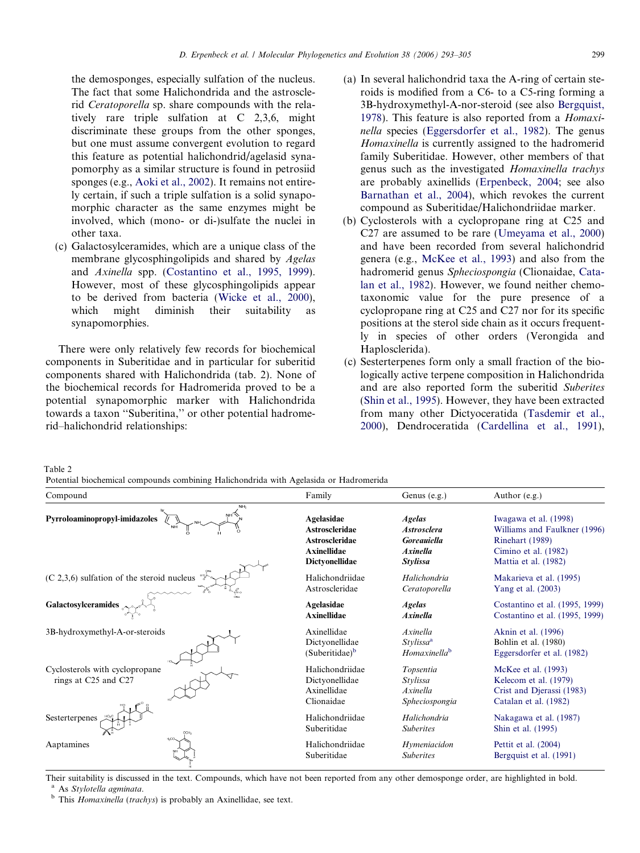<span id="page-6-0"></span>the demosponges, especially sulfation of the nucleus. The fact that some Halichondrida and the astrosclerid Ceratoporella sp. share compounds with the relatively rare triple sulfation at C 2,3,6, might discriminate these groups from the other sponges, but one must assume convergent evolution to regard this feature as potential halichondrid/agelasid synapomorphy as a similar structure is found in petrosiid sponges (e.g., [Aoki et al., 2002](#page-9-0)). It remains not entirely certain, if such a triple sulfation is a solid synapomorphic character as the same enzymes might be involved, which (mono- or di-)sulfate the nuclei in other taxa.

(c) Galactosylceramides, which are a unique class of the membrane glycosphingolipids and shared by Agelas and Axinella spp. ([Costantino et al., 1995, 1999\)](#page-10-0). However, most of these glycosphingolipids appear to be derived from bacteria ([Wicke et al., 2000\)](#page-12-0), which might diminish their suitability as synapomorphies.

There were only relatively few records for biochemical components in Suberitidae and in particular for suberitid components shared with Halichondrida (tab. 2). None of the biochemical records for Hadromerida proved to be a potential synapomorphic marker with Halichondrida towards a taxon ''Suberitina,'' or other potential hadromerid–halichondrid relationships:

- (a) In several halichondrid taxa the A-ring of certain steroids is modified from a C6- to a C5-ring forming a 3B-hydroxymethyl-A-nor-steroid (see also [Bergquist,](#page-10-0) [1978](#page-10-0)). This feature is also reported from a Homaxinella species ([Eggersdorfer et al., 1982](#page-10-0)). The genus Homaxinella is currently assigned to the hadromerid family Suberitidae. However, other members of that genus such as the investigated Homaxinella trachys are probably axinellids [\(Erpenbeck, 2004;](#page-10-0) see also [Barnathan et al., 2004\)](#page-9-0), which revokes the current compound as Suberitidae/Halichondriidae marker.
- (b) Cyclosterols with a cyclopropane ring at C25 and C27 are assumed to be rare [\(Umeyama et al., 2000](#page-11-0)) and have been recorded from several halichondrid genera (e.g., [McKee et al., 1993](#page-11-0)) and also from the hadromerid genus Spheciospongia (Clionaidae, [Cata](#page-10-0)[lan et al., 1982\)](#page-10-0). However, we found neither chemotaxonomic value for the pure presence of a cyclopropane ring at C25 and C27 nor for its specific positions at the sterol side chain as it occurs frequently in species of other orders (Verongida and Haplosclerida).
- (c) Sesterterpenes form only a small fraction of the biologically active terpene composition in Halichondrida and are also reported form the suberitid Suberites ([Shin et al., 1995](#page-11-0)). However, they have been extracted from many other Dictyoceratida ([Tasdemir et al.,](#page-11-0) [2000](#page-11-0)), Dendroceratida ([Cardellina et al., 1991\)](#page-10-0),

Table 2

Potential biochemical compounds combining Halichondrida with Agelasida or Hadromerida

| Compound                                                 | Family                                                         | Genus (e.g.)                                                  | Author (e.g.)                                                                                      |
|----------------------------------------------------------|----------------------------------------------------------------|---------------------------------------------------------------|----------------------------------------------------------------------------------------------------|
| Pyrroloaminopropyl-imidazoles                            | Agelasidae                                                     | <b>Agelas</b>                                                 | Iwagawa et al. (1998)                                                                              |
|                                                          | <b>Astroscleridae</b>                                          | <b>Astrosclera</b>                                            | Williams and Faulkner (1996)                                                                       |
|                                                          | <b>Astroscleridae</b>                                          | <b>Goreauiella</b>                                            | Rinehart (1989)                                                                                    |
|                                                          | <b>Axinellidae</b>                                             | <b>Axinella</b>                                               | Cimino et al. (1982)                                                                               |
|                                                          | <b>Dictyonellidae</b>                                          | <b>Stylissa</b>                                               | Mattia et al. (1982)                                                                               |
| (C 2,3,6) sulfation of the steroid nucleus $\frac{1}{3}$ | Halichondriidae                                                | Halichondria                                                  | Makarieva et al. (1995)                                                                            |
|                                                          | Astroscleridae                                                 | Ceratoporella                                                 | Yang et al. (2003)                                                                                 |
| Galactosylceramides                                      | Agelasidae                                                     | <b>Agelas</b>                                                 | Costantino et al. (1995, 1999)                                                                     |
|                                                          | <b>Axinellidae</b>                                             | <b>Axinella</b>                                               | Costantino et al. (1995, 1999)                                                                     |
| 3B-hydroxymethyl-A-or-steroids                           | Axinellidae                                                    | $A$ xinella                                                   | Aknin et al. (1996)                                                                                |
|                                                          | Dictyonellidae                                                 | $Stv$ lissa <sup>a</sup>                                      | Bohlin et al. (1980)                                                                               |
|                                                          | (Suberitidae) <sup>b</sup>                                     | Homaxinella <sup>b</sup>                                      | Eggersdorfer et al. (1982)                                                                         |
| Cyclosterols with cyclopropane<br>rings at C25 and C27   | Halichondriidae<br>Dictyonellidae<br>Axinellidae<br>Clionaidae | Topsentia<br><i>Stylissa</i><br>$A$ xinella<br>Spheciospongia | McKee et al. (1993)<br>Kelecom et al. (1979)<br>Crist and Djerassi (1983)<br>Catalan et al. (1982) |
| Sesterterpenes                                           | Halichondriidae                                                | Halichondria                                                  | Nakagawa et al. (1987)                                                                             |
|                                                          | Suberitidae                                                    | <b>Suberites</b>                                              | Shin et al. (1995)                                                                                 |
| Aaptamines                                               | Halichondriidae                                                | Hymeniacidon                                                  | Pettit et al. $(2004)$                                                                             |
|                                                          | Suberitidae                                                    | <b>Suberites</b>                                              | Bergquist et al. (1991)                                                                            |

Their suitability is discussed in the text. Compounds, which have not been reported from any other demosponge order, are highlighted in bold. <sup>a</sup> As Stylotella agminata.

<sup>b</sup> This *Homaxinella* (trachys) is probably an Axinellidae, see text.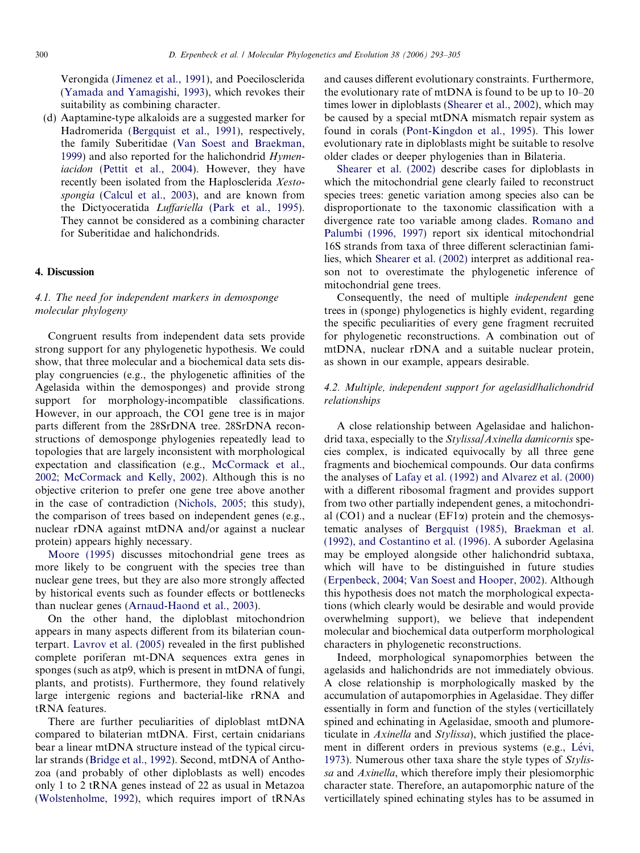Verongida ([Jimenez et al., 1991\)](#page-10-0), and Poecilosclerida (Yamada and Yamagishi, 1993), which revokes their suitability as combining character.

(d) Aaptamine-type alkaloids are a suggested marker for Hadromerida ([Bergquist et al., 1991](#page-10-0)), respectively, the family Suberitidae ([Van Soest and Braekman,](#page-11-0) [1999\)](#page-11-0) and also reported for the halichondrid  $Hy$ *men*-iacidon [\(Pettit et al., 2004](#page-11-0)). However, they have recently been isolated from the Haplosclerida Xesto-spongia [\(Calcul et al., 2003](#page-10-0)), and are known from the Dictyoceratida Luffariella [\(Park et al., 1995\)](#page-11-0). They cannot be considered as a combining character for Suberitidae and halichondrids.

## 4. Discussion

# 4.1. The need for independent markers in demosponge molecular phylogeny

Congruent results from independent data sets provide strong support for any phylogenetic hypothesis. We could show, that three molecular and a biochemical data sets display congruencies (e.g., the phylogenetic affinities of the Agelasida within the demosponges) and provide strong support for morphology-incompatible classifications. However, in our approach, the CO1 gene tree is in major parts different from the 28SrDNA tree. 28SrDNA reconstructions of demosponge phylogenies repeatedly lead to topologies that are largely inconsistent with morphological expectation and classification (e.g., [McCormack et al.,](#page-11-0) [2002; McCormack and Kelly, 2002](#page-11-0)). Although this is no objective criterion to prefer one gene tree above another in the case of contradiction ([Nichols, 2005](#page-11-0); this study), the comparison of trees based on independent genes (e.g., nuclear rDNA against mtDNA and/or against a nuclear protein) appears highly necessary.

[Moore \(1995\)](#page-11-0) discusses mitochondrial gene trees as more likely to be congruent with the species tree than nuclear gene trees, but they are also more strongly affected by historical events such as founder effects or bottlenecks than nuclear genes ([Arnaud-Haond et al., 2003\)](#page-9-0).

On the other hand, the diploblast mitochondrion appears in many aspects different from its bilaterian counterpart. [Lavrov et al. \(2005\)](#page-11-0) revealed in the first published complete poriferan mt-DNA sequences extra genes in sponges (such as atp9, which is present in mtDNA of fungi, plants, and protists). Furthermore, they found relatively large intergenic regions and bacterial-like rRNA and tRNA features.

There are further peculiarities of diploblast mtDNA compared to bilaterian mtDNA. First, certain cnidarians bear a linear mtDNA structure instead of the typical circular strands [\(Bridge et al., 1992](#page-10-0)). Second, mtDNA of Anthozoa (and probably of other diploblasts as well) encodes only 1 to 2 tRNA genes instead of 22 as usual in Metazoa [\(Wolstenholme, 1992](#page-12-0)), which requires import of tRNAs

and causes different evolutionary constraints. Furthermore, the evolutionary rate of mtDNA is found to be up to 10–20 times lower in diploblasts [\(Shearer et al., 2002\)](#page-11-0), which may be caused by a special mtDNA mismatch repair system as found in corals [\(Pont-Kingdon et al., 1995\)](#page-11-0). This lower evolutionary rate in diploblasts might be suitable to resolve older clades or deeper phylogenies than in Bilateria.

[Shearer et al. \(2002\)](#page-11-0) describe cases for diploblasts in which the mitochondrial gene clearly failed to reconstruct species trees: genetic variation among species also can be disproportionate to the taxonomic classification with a divergence rate too variable among clades. [Romano and](#page-11-0) [Palumbi \(1996, 1997\)](#page-11-0) report six identical mitochondrial 16S strands from taxa of three different scleractinian families, which [Shearer et al. \(2002\)](#page-11-0) interpret as additional reason not to overestimate the phylogenetic inference of mitochondrial gene trees.

Consequently, the need of multiple independent gene trees in (sponge) phylogenetics is highly evident, regarding the specific peculiarities of every gene fragment recruited for phylogenetic reconstructions. A combination out of mtDNA, nuclear rDNA and a suitable nuclear protein, as shown in our example, appears desirable.

# 4.2. Multiple, independent support for agelasidlhalichondrid relationships

A close relationship between Agelasidae and halichondrid taxa, especially to the Stylissa/Axinella damicornis species complex, is indicated equivocally by all three gene fragments and biochemical compounds. Our data confirms the analyses of [Lafay et al. \(1992\) and Alvarez et al. \(2000\)](#page-11-0) with a different ribosomal fragment and provides support from two other partially independent genes, a mitochondrial  $(CO1)$  and a nuclear  $(EF1\alpha)$  protein and the chemosystematic analyses of [Bergquist \(1985\), Braekman et al.](#page-10-0) [\(1992\), and Costantino et al. \(1996\).](#page-10-0) A suborder Agelasina may be employed alongside other halichondrid subtaxa, which will have to be distinguished in future studies [\(Erpenbeck, 2004; Van Soest and Hooper, 2002](#page-10-0)). Although this hypothesis does not match the morphological expectations (which clearly would be desirable and would provide overwhelming support), we believe that independent molecular and biochemical data outperform morphological characters in phylogenetic reconstructions.

Indeed, morphological synapomorphies between the agelasids and halichondrids are not immediately obvious. A close relationship is morphologically masked by the accumulation of autapomorphies in Agelasidae. They differ essentially in form and function of the styles (verticillately spined and echinating in Agelasidae, smooth and plumoreticulate in Axinella and Stylissa), which justified the placement in different orders in previous systems (e.g., Lévi, [1973\)](#page-11-0). Numerous other taxa share the style types of  $Stylis$ sa and *Axinella*, which therefore imply their plesiomorphic character state. Therefore, an autapomorphic nature of the verticillately spined echinating styles has to be assumed in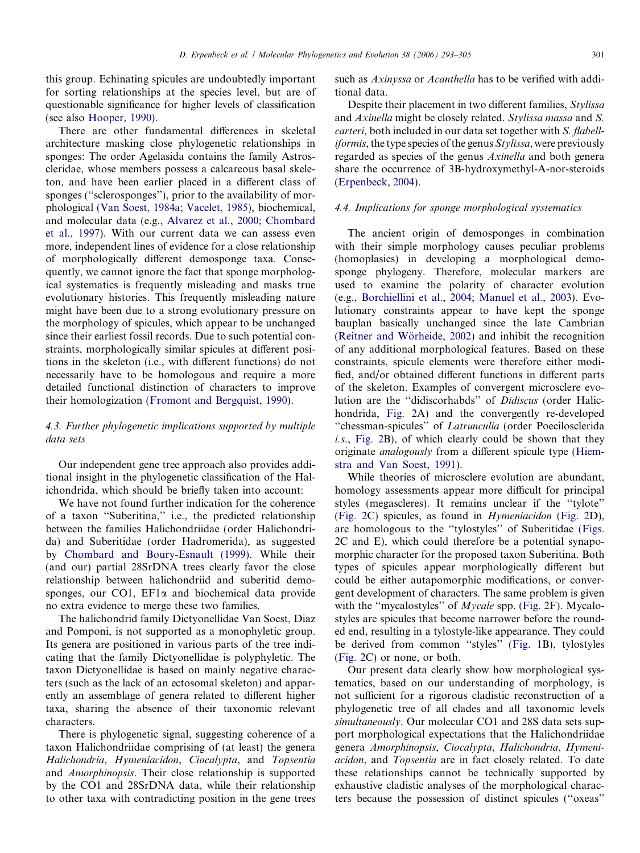this group. Echinating spicules are undoubtedly important for sorting relationships at the species level, but are of questionable significance for higher levels of classification (see also [Hooper, 1990](#page-10-0)).

There are other fundamental differences in skeletal architecture masking close phylogenetic relationships in sponges: The order Agelasida contains the family Astroscleridae, whose members possess a calcareous basal skeleton, and have been earlier placed in a different class of sponges (''sclerosponges''), prior to the availability of morphological [\(Van Soest, 1984a; Vacelet, 1985\)](#page-11-0), biochemical, and molecular data (e.g., [Alvarez et al., 2000; Chombard](#page-9-0) [et al., 1997\)](#page-9-0). With our current data we can assess even more, independent lines of evidence for a close relationship of morphologically different demosponge taxa. Consequently, we cannot ignore the fact that sponge morphological systematics is frequently misleading and masks true evolutionary histories. This frequently misleading nature might have been due to a strong evolutionary pressure on the morphology of spicules, which appear to be unchanged since their earliest fossil records. Due to such potential constraints, morphologically similar spicules at different positions in the skeleton (i.e., with different functions) do not necessarily have to be homologous and require a more detailed functional distinction of characters to improve their homologization [\(Fromont and Bergquist, 1990](#page-10-0)).

# 4.3. Further phylogenetic implications supported by multiple data sets

Our independent gene tree approach also provides additional insight in the phylogenetic classification of the Halichondrida, which should be briefly taken into account:

We have not found further indication for the coherence of a taxon ''Suberitina,'' i.e., the predicted relationship between the families Halichondriidae (order Halichondrida) and Suberitidae (order Hadromerida), as suggested by [Chombard and Boury-Esnault \(1999\)](#page-10-0). While their (and our) partial 28SrDNA trees clearly favor the close relationship between halichondriid and suberitid demosponges, our CO1, EF1 $\alpha$  and biochemical data provide no extra evidence to merge these two families.

The halichondrid family Dictyonellidae Van Soest, Diaz and Pomponi, is not supported as a monophyletic group. Its genera are positioned in various parts of the tree indicating that the family Dictyonellidae is polyphyletic. The taxon Dictyonellidae is based on mainly negative characters (such as the lack of an ectosomal skeleton) and apparently an assemblage of genera related to different higher taxa, sharing the absence of their taxonomic relevant characters.

There is phylogenetic signal, suggesting coherence of a taxon Halichondriidae comprising of (at least) the genera Halichondria, Hymeniacidon, Ciocalypta, and Topsentia and Amorphinopsis. Their close relationship is supported by the CO1 and 28SrDNA data, while their relationship to other taxa with contradicting position in the gene trees such as Axinyssa or Acanthella has to be verified with additional data.

Despite their placement in two different families, Stylissa and Axinella might be closely related. Stylissa massa and S. carteri, both included in our data set together with S. flabell*iformis*, the type species of the genus  $Stylissa$ , were previously regarded as species of the genus Axinella and both genera share the occurrence of 3B-hydroxymethyl-A-nor-steroids ([Erpenbeck, 2004\)](#page-10-0).

## 4.4. Implications for sponge morphological systematics

The ancient origin of demosponges in combination with their simple morphology causes peculiar problems (homoplasies) in developing a morphological demosponge phylogeny. Therefore, molecular markers are used to examine the polarity of character evolution (e.g., [Borchiellini et al., 2004; Manuel et al., 2003\)](#page-10-0). Evolutionary constraints appear to have kept the sponge bauplan basically unchanged since the late Cambrian (Reitner and Wörheide, 2002) and inhibit the recognition of any additional morphological features. Based on these constraints, spicule elements were therefore either modified, and/or obtained different functions in different parts of the skeleton. Examples of convergent microsclere evolution are the ''didiscorhabds'' of Didiscus (order Halichondrida, [Fig. 2](#page-9-0)A) and the convergently re-developed ''chessman-spicules'' of Latrunculia (order Poecilosclerida  $i.s.,$  [Fig. 2B](#page-9-0)), of which clearly could be shown that they originate analogously from a different spicule type ([Hiem](#page-10-0)[stra and Van Soest, 1991](#page-10-0)).

While theories of microsclere evolution are abundant, homology assessments appear more difficult for principal styles (megascleres). It remains unclear if the ''tylote'' ([Fig. 2C](#page-9-0)) spicules, as found in Hymeniacidon ([Fig. 2](#page-9-0)D), are homologous to the ''tylostyles'' of Suberitidae ([Figs.](#page-9-0) [2C](#page-9-0) and E), which could therefore be a potential synapomorphic character for the proposed taxon Suberitina. Both types of spicules appear morphologically different but could be either autapomorphic modifications, or convergent development of characters. The same problem is given with the "mycalostyles" of *Mycale* spp. [\(Fig. 2](#page-9-0)F). Mycalostyles are spicules that become narrower before the rounded end, resulting in a tylostyle-like appearance. They could be derived from common ''styles'' ([Fig. 1B](#page-2-0)), tylostyles ([Fig. 2](#page-9-0)C) or none, or both.

Our present data clearly show how morphological systematics, based on our understanding of morphology, is not sufficient for a rigorous cladistic reconstruction of a phylogenetic tree of all clades and all taxonomic levels simultaneously. Our molecular CO1 and 28S data sets support morphological expectations that the Halichondriidae genera Amorphinopsis, Ciocalypta, Halichondria, Hymeniacidon, and Topsentia are in fact closely related. To date these relationships cannot be technically supported by exhaustive cladistic analyses of the morphological characters because the possession of distinct spicules (''oxeas''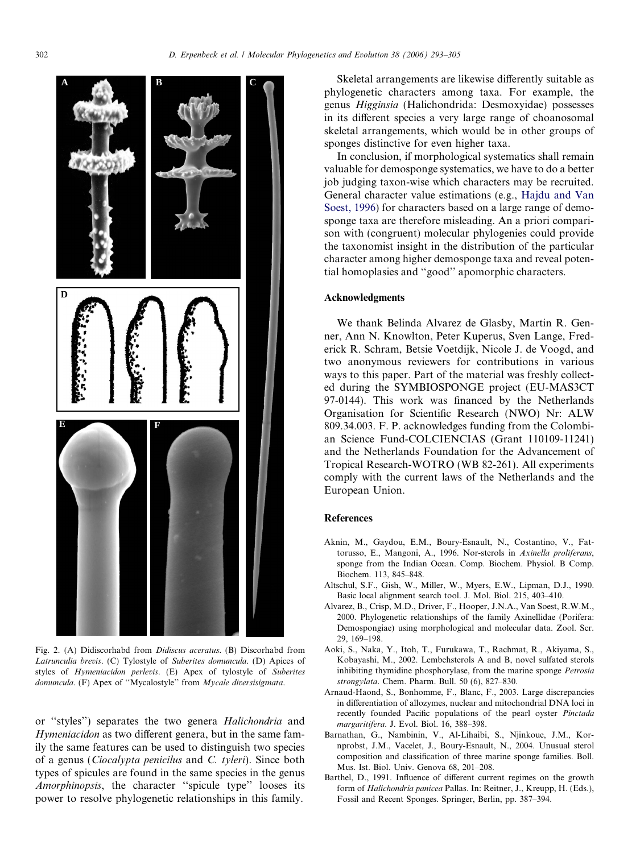<span id="page-9-0"></span>

Fig. 2. (A) Didiscorhabd from Didiscus aceratus. (B) Discorhabd from Latrunculia brevis. (C) Tylostyle of Suberites domuncula. (D) Apices of styles of Hymeniacidon perlevis. (E) Apex of tylostyle of Suberites domuncula. (F) Apex of ''Mycalostyle'' from Mycale diversisigmata.

or ''styles'') separates the two genera Halichondria and Hymeniacidon as two different genera, but in the same family the same features can be used to distinguish two species of a genus (Ciocalypta penicilus and C. tyleri). Since both types of spicules are found in the same species in the genus Amorphinopsis, the character ''spicule type'' looses its power to resolve phylogenetic relationships in this family.

Skeletal arrangements are likewise differently suitable as phylogenetic characters among taxa. For example, the genus Higginsia (Halichondrida: Desmoxyidae) possesses in its different species a very large range of choanosomal skeletal arrangements, which would be in other groups of sponges distinctive for even higher taxa.

In conclusion, if morphological systematics shall remain valuable for demosponge systematics, we have to do a better job judging taxon-wise which characters may be recruited. General character value estimations (e.g., [Hajdu and Van](#page-10-0) [Soest, 1996\)](#page-10-0) for characters based on a large range of demosponge taxa are therefore misleading. An a priori comparison with (congruent) molecular phylogenies could provide the taxonomist insight in the distribution of the particular character among higher demosponge taxa and reveal potential homoplasies and ''good'' apomorphic characters.

#### Acknowledgments

We thank Belinda Alvarez de Glasby, Martin R. Genner, Ann N. Knowlton, Peter Kuperus, Sven Lange, Frederick R. Schram, Betsie Voetdijk, Nicole J. de Voogd, and two anonymous reviewers for contributions in various ways to this paper. Part of the material was freshly collected during the SYMBIOSPONGE project (EU-MAS3CT 97-0144). This work was financed by the Netherlands Organisation for Scientific Research (NWO) Nr: ALW 809.34.003. F. P. acknowledges funding from the Colombian Science Fund-COLCIENCIAS (Grant 110109-11241) and the Netherlands Foundation for the Advancement of Tropical Research-WOTRO (WB 82-261). All experiments comply with the current laws of the Netherlands and the European Union.

## References

- Aknin, M., Gaydou, E.M., Boury-Esnault, N., Costantino, V., Fattorusso, E., Mangoni, A., 1996. Nor-sterols in Axinella proliferans, sponge from the Indian Ocean. Comp. Biochem. Physiol. B Comp. Biochem. 113, 845–848.
- Altschul, S.F., Gish, W., Miller, W., Myers, E.W., Lipman, D.J., 1990. Basic local alignment search tool. J. Mol. Biol. 215, 403–410.
- Alvarez, B., Crisp, M.D., Driver, F., Hooper, J.N.A., Van Soest, R.W.M., 2000. Phylogenetic relationships of the family Axinellidae (Porifera: Demospongiae) using morphological and molecular data. Zool. Scr. 29, 169–198.
- Aoki, S., Naka, Y., Itoh, T., Furukawa, T., Rachmat, R., Akiyama, S., Kobayashi, M., 2002. Lembehsterols A and B, novel sulfated sterols inhibiting thymidine phosphorylase, from the marine sponge Petrosia strongylata. Chem. Pharm. Bull. 50 (6), 827–830.
- Arnaud-Haond, S., Bonhomme, F., Blanc, F., 2003. Large discrepancies in differentiation of allozymes, nuclear and mitochondrial DNA loci in recently founded Pacific populations of the pearl oyster Pinctada margaritifera. J. Evol. Biol. 16, 388–398.
- Barnathan, G., Nambinin, V., Al-Lihaibi, S., Njinkoue, J.M., Kornprobst, J.M., Vacelet, J., Boury-Esnault, N., 2004. Unusual sterol composition and classification of three marine sponge families. Boll. Mus. Ist. Biol. Univ. Genova 68, 201–208.
- Barthel, D., 1991. Influence of different current regimes on the growth form of Halichondria panicea Pallas. In: Reitner, J., Kreupp, H. (Eds.), Fossil and Recent Sponges. Springer, Berlin, pp. 387–394.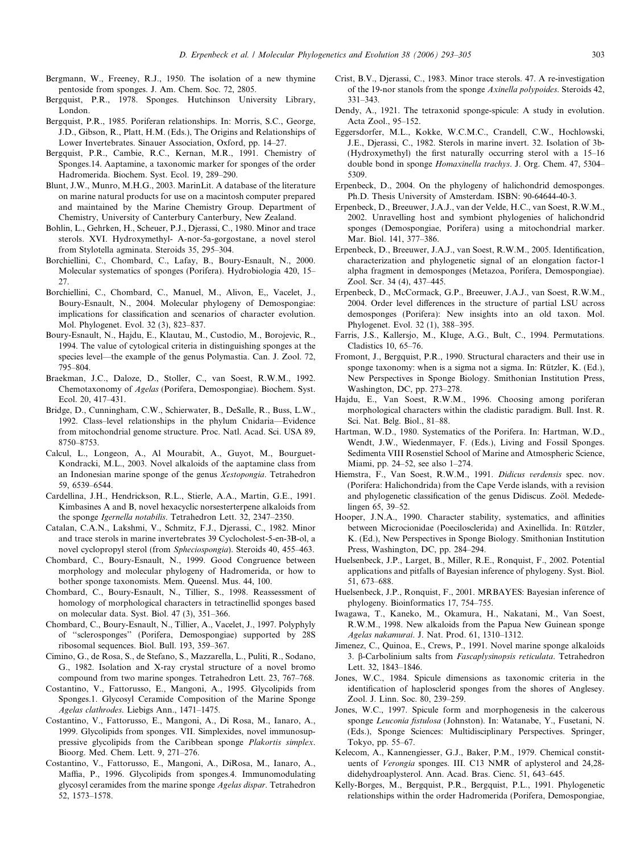- <span id="page-10-0"></span>Bergmann, W., Freeney, R.J., 1950. The isolation of a new thymine pentoside from sponges. J. Am. Chem. Soc. 72, 2805.
- Bergquist, P.R., 1978. Sponges. Hutchinson University Library, London.
- Bergquist, P.R., 1985. Poriferan relationships. In: Morris, S.C., George, J.D., Gibson, R., Platt, H.M. (Eds.), The Origins and Relationships of Lower Invertebrates. Sinauer Association, Oxford, pp. 14–27.
- Bergquist, P.R., Cambie, R.C., Kernan, M.R., 1991. Chemistry of Sponges.14. Aaptamine, a taxonomic marker for sponges of the order Hadromerida. Biochem. Syst. Ecol. 19, 289–290.
- Blunt, J.W., Munro, M.H.G., 2003. MarinLit. A database of the literature on marine natural products for use on a macintosh computer prepared and maintained by the Marine Chemistry Group. Department of Chemistry, University of Canterbury Canterbury, New Zealand.
- Bohlin, L., Gehrken, H., Scheuer, P.J., Djerassi, C., 1980. Minor and trace sterols. XVI. Hydroxymethyl- A-nor-5a-gorgostane, a novel sterol from Stylotella agminata. Steroids 35, 295–304.
- Borchiellini, C., Chombard, C., Lafay, B., Boury-Esnault, N., 2000. Molecular systematics of sponges (Porifera). Hydrobiologia 420, 15– 27.
- Borchiellini, C., Chombard, C., Manuel, M., Alivon, E,, Vacelet, J., Boury-Esnault, N., 2004. Molecular phylogeny of Demospongiae: implications for classification and scenarios of character evolution. Mol. Phylogenet. Evol. 32 (3), 823–837.
- Boury-Esnault, N., Hajdu, E., Klautau, M., Custodio, M., Borojevic, R., 1994. The value of cytological criteria in distinguishing sponges at the species level—the example of the genus Polymastia. Can. J. Zool. 72, 795–804.
- Braekman, J.C., Daloze, D., Stoller, C., van Soest, R.W.M., 1992. Chemotaxonomy of Agelas (Porifera, Demospongiae). Biochem. Syst. Ecol. 20, 417–431.
- Bridge, D., Cunningham, C.W., Schierwater, B., DeSalle, R., Buss, L.W., 1992. Class–level relationships in the phylum Cnidaria—Evidence from mitochondrial genome structure. Proc. Natl. Acad. Sci. USA 89, 8750–8753.
- Calcul, L., Longeon, A., Al Mourabit, A., Guyot, M., Bourguet-Kondracki, M.L., 2003. Novel alkaloids of the aaptamine class from an Indonesian marine sponge of the genus Xestopongia. Tetrahedron 59, 6539–6544.
- Cardellina, J.H., Hendrickson, R.L., Stierle, A.A., Martin, G.E., 1991. Kimbasines A and B, novel hexacyclic norsesterterpene alkaloids from the sponge Igernella notabilis. Tetrahedron Lett. 32, 2347–2350.
- Catalan, C.A.N., Lakshmi, V., Schmitz, F.J., Djerassi, C., 1982. Minor and trace sterols in marine invertebrates 39 Cyclocholest-5-en-3B-ol, a novel cyclopropyl sterol (from Spheciospongia). Steroids 40, 455–463.
- Chombard, C., Boury-Esnault, N., 1999. Good Congruence between morphology and molecular phylogeny of Hadromerida, or how to bother sponge taxonomists. Mem. Queensl. Mus. 44, 100.
- Chombard, C., Boury-Esnault, N., Tillier, S., 1998. Reassessment of homology of morphological characters in tetractinellid sponges based on molecular data. Syst. Biol. 47 (3), 351–366.
- Chombard, C., Boury-Esnault, N., Tillier, A., Vacelet, J., 1997. Polyphyly of ''sclerosponges'' (Porifera, Demospongiae) supported by 28S ribosomal sequences. Biol. Bull. 193, 359–367.
- Cimino, G., de Rosa, S., de Stefano, S., Mazzarella, L., Puliti, R., Sodano, G., 1982. Isolation and X-ray crystal structure of a novel bromo compound from two marine sponges. Tetrahedron Lett. 23, 767–768.
- Costantino, V., Fattorusso, E., Mangoni, A., 1995. Glycolipids from Sponges.1. Glycosyl Ceramide Composition of the Marine Sponge Agelas clathrodes. Liebigs Ann., 1471–1475.
- Costantino, V., Fattorusso, E., Mangoni, A., Di Rosa, M., Ianaro, A., 1999. Glycolipids from sponges. VII. Simplexides, novel immunosuppressive glycolipids from the Caribbean sponge Plakortis simplex. Bioorg. Med. Chem. Lett. 9, 271–276.
- Costantino, V., Fattorusso, E., Mangoni, A., DiRosa, M., Ianaro, A., Maffia, P., 1996. Glycolipids from sponges.4. Immunomodulating glycosyl ceramides from the marine sponge Agelas dispar. Tetrahedron 52, 1573–1578.
- Crist, B.V., Djerassi, C., 1983. Minor trace sterols. 47. A re-investigation of the 19-nor stanols from the sponge Axinella polypoides. Steroids 42, 331–343.
- Dendy, A., 1921. The tetraxonid sponge-spicule: A study in evolution. Acta Zool., 95–152.
- Eggersdorfer, M.L., Kokke, W.C.M.C., Crandell, C.W., Hochlowski, J.E., Djerassi, C., 1982. Sterols in marine invert. 32. Isolation of 3b- (Hydroxymethyl) the first naturally occurring sterol with a 15–16 double bond in sponge Homaxinella trachys. J. Org. Chem. 47, 5304– 5309.
- Erpenbeck, D., 2004. On the phylogeny of halichondrid demosponges. Ph.D. Thesis University of Amsterdam. ISBN: 90-64644-40-3.
- Erpenbeck, D., Breeuwer, J.A.J., van der Velde, H.C., van Soest, R.W.M., 2002. Unravelling host and symbiont phylogenies of halichondrid sponges (Demospongiae, Porifera) using a mitochondrial marker. Mar. Biol. 141, 377–386.
- Erpenbeck, D., Breeuwer, J.A.J., van Soest, R.W.M., 2005. Identification, characterization and phylogenetic signal of an elongation factor-1 alpha fragment in demosponges (Metazoa, Porifera, Demospongiae). Zool. Scr. 34 (4), 437–445.
- Erpenbeck, D., McCormack, G.P., Breeuwer, J.A.J., van Soest, R.W.M., 2004. Order level differences in the structure of partial LSU across demosponges (Porifera): New insights into an old taxon. Mol. Phylogenet. Evol. 32 (1), 388–395.
- Farris, J.S., Kallersjo, M., Kluge, A.G., Bult, C., 1994. Permutations. Cladistics 10, 65–76.
- Fromont, J., Bergquist, P.R., 1990. Structural characters and their use in sponge taxonomy: when is a sigma not a sigma. In: Rützler, K. (Ed.), New Perspectives in Sponge Biology. Smithonian Institution Press, Washington, DC, pp. 273–278.
- Hajdu, E., Van Soest, R.W.M., 1996. Choosing among poriferan morphological characters within the cladistic paradigm. Bull. Inst. R. Sci. Nat. Belg. Biol., 81–88.
- Hartman, W.D., 1980. Systematics of the Porifera. In: Hartman, W.D., Wendt, J.W., Wiedenmayer, F. (Eds.), Living and Fossil Sponges. Sedimenta VIII Rosenstiel School of Marine and Atmospheric Science, Miami, pp. 24–52, see also 1–274.
- Hiemstra, F., Van Soest, R.W.M., 1991. Didicus verdensis spec. nov. (Porifera: Halichondrida) from the Cape Verde islands, with a revision and phylogenetic classification of the genus Didiscus. Zoöl. Mededelingen 65, 39–52.
- Hooper, J.N.A., 1990. Character stability, systematics, and affinities between Microcionidae (Poecilosclerida) and Axinellida. In: Rützler, K. (Ed.), New Perspectives in Sponge Biology. Smithonian Institution Press, Washington, DC, pp. 284–294.
- Huelsenbeck, J.P., Larget, B., Miller, R.E., Ronquist, F., 2002. Potential applications and pitfalls of Bayesian inference of phylogeny. Syst. Biol. 51, 673–688.
- Huelsenbeck, J.P., Ronquist, F., 2001. MRBAYES: Bayesian inference of phylogeny. Bioinformatics 17, 754–755.
- Iwagawa, T., Kaneko, M., Okamura, H., Nakatani, M., Van Soest, R.W.M., 1998. New alkaloids from the Papua New Guinean sponge Agelas nakamurai. J. Nat. Prod. 61, 1310–1312.
- Jimenez, C., Quinoa, E., Crews, P., 1991. Novel marine sponge alkaloids 3. b-Carbolinium salts from Fascaplysinopsis reticulata. Tetrahedron Lett. 32, 1843–1846.
- Jones, W.C., 1984. Spicule dimensions as taxonomic criteria in the identification of haplosclerid sponges from the shores of Anglesey. Zool. J. Linn. Soc. 80, 239–259.
- Jones, W.C., 1997. Spicule form and morphogenesis in the calcerous sponge Leuconia fistulosa (Johnston). In: Watanabe, Y., Fusetani, N. (Eds.), Sponge Sciences: Multidisciplinary Perspectives. Springer, Tokyo, pp. 55–67.
- Kelecom, A., Kannengiesser, G.J., Baker, P.M., 1979. Chemical constituents of Verongia sponges. III. C13 NMR of aplysterol and 24,28 didehydroaplysterol. Ann. Acad. Bras. Cienc. 51, 643–645.
- Kelly-Borges, M., Bergquist, P.R., Bergquist, P.L., 1991. Phylogenetic relationships within the order Hadromerida (Porifera, Demospongiae,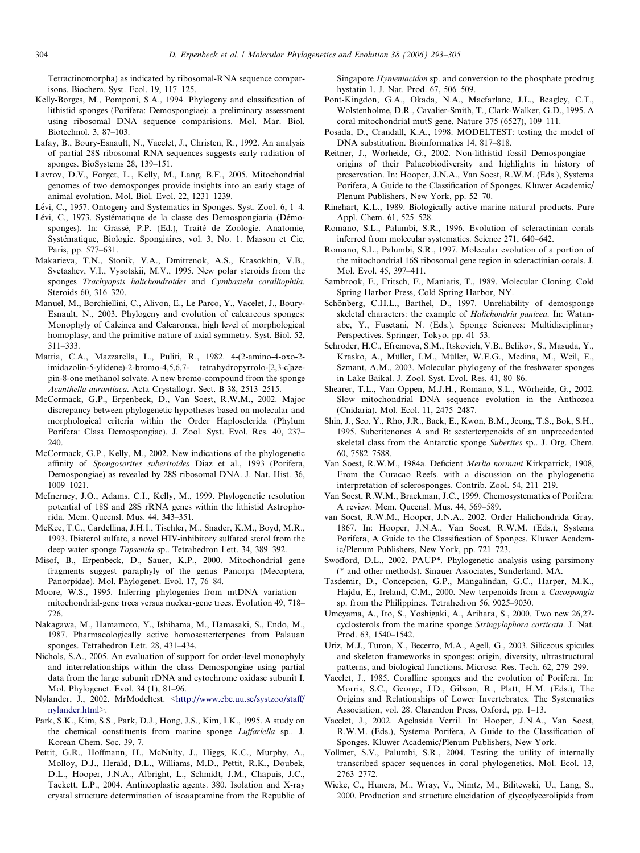<span id="page-11-0"></span>Tetractinomorpha) as indicated by ribosomal-RNA sequence comparisons. Biochem. Syst. Ecol. 19, 117–125.

- Kelly-Borges, M., Pomponi, S.A., 1994. Phylogeny and classification of lithistid sponges (Porifera: Demospongiae): a preliminary assessment using ribosomal DNA sequence comparisions. Mol. Mar. Biol. Biotechnol. 3, 87–103.
- Lafay, B., Boury-Esnault, N., Vacelet, J., Christen, R., 1992. An analysis of partial 28S ribosomal RNA sequences suggests early radiation of sponges. BioSystems 28, 139–151.
- Lavrov, D.V., Forget, L., Kelly, M., Lang, B.F., 2005. Mitochondrial genomes of two demosponges provide insights into an early stage of animal evolution. Mol. Biol. Evol. 22, 1231–1239.

Lévi, C., 1957. Ontogeny and Systematics in Sponges. Syst. Zool. 6, 1–4.

- Lévi, C., 1973. Systématique de la classe des Demospongiaria (Démosponges). In: Grassé, P.P. (Ed.), Traité de Zoologie. Anatomie, Systématique, Biologie. Spongiaires, vol. 3, No. 1. Masson et Cie, Paris, pp. 577–631.
- Makarieva, T.N., Stonik, V.A., Dmitrenok, A.S., Krasokhin, V.B., Svetashev, V.I., Vysotskii, M.V., 1995. New polar steroids from the sponges Trachyopsis halichondroides and Cymbastela coralliophila. Steroids 60, 316–320.
- Manuel, M., Borchiellini, C., Alivon, E., Le Parco, Y., Vacelet, J., Boury-Esnault, N., 2003. Phylogeny and evolution of calcareous sponges: Monophyly of Calcinea and Calcaronea, high level of morphological homoplasy, and the primitive nature of axial symmetry. Syst. Biol. 52, 311–333.
- Mattia, C.A., Mazzarella, L., Puliti, R., 1982. 4-(2-amino-4-oxo-2 imidazolin-5-ylidene)-2-bromo-4,5,6,7- tetrahydropyrrolo-[2,3-c]azepin-8-one methanol solvate. A new bromo-compound from the sponge Acanthella aurantiaca. Acta Crystallogr. Sect. B 38, 2513–2515.
- McCormack, G.P., Erpenbeck, D., Van Soest, R.W.M., 2002. Major discrepancy between phylogenetic hypotheses based on molecular and morphological criteria within the Order Haplosclerida (Phylum Porifera: Class Demospongiae). J. Zool. Syst. Evol. Res. 40, 237– 240.
- McCormack, G.P., Kelly, M., 2002. New indications of the phylogenetic affinity of Spongosorites suberitoides Diaz et al., 1993 (Porifera, Demospongiae) as revealed by 28S ribosomal DNA. J. Nat. Hist. 36, 1009–1021.
- McInerney, J.O., Adams, C.I., Kelly, M., 1999. Phylogenetic resolution potential of 18S and 28S rRNA genes within the lithistid Astrophorida. Mem. Queensl. Mus. 44, 343–351.
- McKee, T.C., Cardellina, J.H.I., Tischler, M., Snader, K.M., Boyd, M.R., 1993. Ibisterol sulfate, a novel HIV-inhibitory sulfated sterol from the deep water sponge Topsentia sp.. Tetrahedron Lett. 34, 389–392.
- Misof, B., Erpenbeck, D., Sauer, K.P., 2000. Mitochondrial gene fragments suggest paraphyly of the genus Panorpa (Mecoptera, Panorpidae). Mol. Phylogenet. Evol. 17, 76–84.
- Moore, W.S., 1995. Inferring phylogenies from mtDNA variation mitochondrial-gene trees versus nuclear-gene trees. Evolution 49, 718– 726.
- Nakagawa, M., Hamamoto, Y., Ishihama, M., Hamasaki, S., Endo, M., 1987. Pharmacologically active homosesterterpenes from Palauan sponges. Tetrahedron Lett. 28, 431–434.
- Nichols, S.A., 2005. An evaluation of support for order-level monophyly and interrelationships within the class Demospongiae using partial data from the large subunit rDNA and cytochrome oxidase subunit I. Mol. Phylogenet. Evol. 34 (1), 81–96.
- Nylander, J., 2002. MrModeltest. <[http://www.ebc.uu.se/systzoo/staff/](http://www.ebc.uu.se/systzoo/staff/nylander.html) [nylander.html](http://www.ebc.uu.se/systzoo/staff/nylander.html)>.
- Park, S.K., Kim, S.S., Park, D.J., Hong, J.S., Kim, I.K., 1995. A study on the chemical constituents from marine sponge Luffariella sp.. J. Korean Chem. Soc. 39, 7.
- Pettit, G.R., Hoffmann, H., McNulty, J., Higgs, K.C., Murphy, A., Molloy, D.J., Herald, D.L., Williams, M.D., Pettit, R.K., Doubek, D.L., Hooper, J.N.A., Albright, L., Schmidt, J.M., Chapuis, J.C., Tackett, L.P., 2004. Antineoplastic agents. 380. Isolation and X-ray crystal structure determination of isoaaptamine from the Republic of

Singapore Hymeniacidon sp. and conversion to the phosphate prodrug hystatin 1. J. Nat. Prod. 67, 506–509.

- Pont-Kingdon, G.A., Okada, N.A., Macfarlane, J.L., Beagley, C.T., Wolstenholme, D.R., Cavalier-Smith, T., Clark-Walker, G.D., 1995. A coral mitochondrial mutS gene. Nature 375 (6527), 109–111.
- Posada, D., Crandall, K.A., 1998. MODELTEST: testing the model of DNA substitution. Bioinformatics 14, 817–818.
- Reitner, J., Wörheide, G., 2002. Non-lithistid fossil Demospongiaeorigins of their Palaeobiodiversity and highlights in history of preservation. In: Hooper, J.N.A., Van Soest, R.W.M. (Eds.), Systema Porifera, A Guide to the Classification of Sponges. Kluwer Academic/ Plenum Publishers, New York, pp. 52–70.
- Rinehart, K.L., 1989. Biologically active marine natural products. Pure Appl. Chem. 61, 525–528.
- Romano, S.L., Palumbi, S.R., 1996. Evolution of scleractinian corals inferred from molecular systematics. Science 271, 640–642.
- Romano, S.L., Palumbi, S.R., 1997. Molecular evolution of a portion of the mitochondrial 16S ribosomal gene region in scleractinian corals. J. Mol. Evol. 45, 397–411.
- Sambrook, E., Fritsch, F., Maniatis, T., 1989. Molecular Cloning. Cold Spring Harbor Press, Cold Spring Harbor, NY.
- Schönberg, C.H.L., Barthel, D., 1997. Unreliability of demosponge skeletal characters: the example of Halichondria panicea. In: Watanabe, Y., Fusetani, N. (Eds.), Sponge Sciences: Multidisciplinary Perspectives. Springer, Tokyo, pp. 41–53.
- Schröder, H.C., Efremova, S.M., Itskovich, V.B., Belikov, S., Masuda, Y., Krasko, A., Müller, I.M., Müller, W.E.G., Medina, M., Weil, E., Szmant, A.M., 2003. Molecular phylogeny of the freshwater sponges in Lake Baikal. J. Zool. Syst. Evol. Res. 41, 80–86.
- Shearer, T.L., Van Oppen, M.J.H., Romano, S.L., Wörheide, G., 2002. Slow mitochondrial DNA sequence evolution in the Anthozoa (Cnidaria). Mol. Ecol. 11, 2475–2487.
- Shin, J., Seo, Y., Rho, J.R., Baek, E., Kwon, B.M., Jeong, T.S., Bok, S.H., 1995. Suberitenones A and B: sesterterpenoids of an unprecedented skeletal class from the Antarctic sponge Suberites sp.. J. Org. Chem. 60, 7582–7588.
- Van Soest, R.W.M., 1984a. Deficient Merlia normani Kirkpatrick, 1908, From the Curacao Reefs. with a discussion on the phylogenetic interpretation of sclerosponges. Contrib. Zool. 54, 211–219.
- Van Soest, R.W.M., Braekman, J.C., 1999. Chemosystematics of Porifera: A review. Mem. Queensl. Mus. 44, 569–589.
- van Soest, R.W.M., Hooper, J.N.A., 2002. Order Halichondrida Gray, 1867. In: Hooper, J.N.A., Van Soest, R.W.M. (Eds.), Systema Porifera, A Guide to the Classification of Sponges. Kluwer Academic/Plenum Publishers, New York, pp. 721–723.
- Swofford, D.L., 2002. PAUP\*. Phylogenetic analysis using parsimony (\* and other methods). Sinauer Associates, Sunderland, MA.
- Tasdemir, D., Concepcion, G.P., Mangalindan, G.C., Harper, M.K., Hajdu, E., Ireland, C.M., 2000. New terpenoids from a Cacospongia sp. from the Philippines. Tetrahedron 56, 9025–9030.
- Umeyama, A., Ito, S., Yoshigaki, A., Arihara, S., 2000. Two new 26,27 cyclosterols from the marine sponge Stringylophora corticata. J. Nat. Prod. 63, 1540–1542.
- Uriz, M.J., Turon, X., Becerro, M.A., Agell, G., 2003. Siliceous spicules and skeleton frameworks in sponges: origin, diversity, ultrastructural patterns, and biological functions. Microsc. Res. Tech. 62, 279–299.
- Vacelet, J., 1985. Coralline sponges and the evolution of Porifera. In: Morris, S.C., George, J.D., Gibson, R., Platt, H.M. (Eds.), The Origins and Relationships of Lower Invertebrates, The Systematics Association, vol. 28. Clarendon Press, Oxford, pp. 1–13.
- Vacelet, J., 2002. Agelasida Verril. In: Hooper, J.N.A., Van Soest, R.W.M. (Eds.), Systema Porifera, A Guide to the Classification of Sponges. Kluwer Academic/Plenum Publishers, New York.
- Vollmer, S.V., Palumbi, S.R., 2004. Testing the utility of internally transcribed spacer sequences in coral phylogenetics. Mol. Ecol. 13, 2763–2772.
- Wicke, C., Huners, M., Wray, V., Nimtz, M., Bilitewski, U., Lang, S., 2000. Production and structure elucidation of glycoglycerolipids from